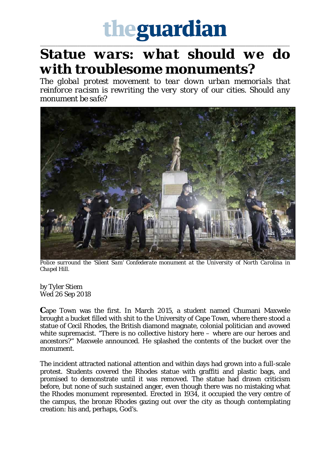# theguardian

\_\_\_\_\_\_\_\_\_\_\_\_\_\_\_\_\_\_\_\_\_\_\_\_\_\_\_\_\_\_\_\_\_\_\_\_\_\_\_\_\_\_\_\_\_\_\_\_\_\_\_\_\_\_\_\_\_\_\_\_\_\_\_\_\_\_\_\_\_\_\_\_\_\_\_\_\_\_\_\_\_\_\_\_\_\_\_\_\_\_\_\_\_\_\_\_\_\_\_\_\_\_\_\_\_\_\_\_\_\_\_\_\_

## *Statue wars: what should we do with troublesome monuments?*

*The global protest movement to tear down urban memorials that reinforce racism is rewriting the very story of our cities. Should any monument be safe?*



*Police surround the 'Silent Sam' Confederate monument at the University of North Carolina in Chapel Hill.*

by Tyler Stiem Wed 26 Sep 2018

**C**ape Town was the first. In March 2015, a student named Chumani Maxwele brought a bucket filled with shit to the University of Cape Town, where there stood a statue of Cecil Rhodes, the British diamond magnate, colonial politician and avowed white supremacist. "There is no collective history here – where are our heroes and ancestors?" Maxwele announced. He splashed the contents of the bucket over the monument.

The incident attracted national attention and within days had grown into a full-scale protest. Students covered the Rhodes statue with graffiti and plastic bags, and promised to demonstrate until it was removed. The statue had drawn criticism before, but none of such sustained anger, even though there was no mistaking what the Rhodes monument represented. Erected in 1934, it occupied the very centre of the campus, the bronze Rhodes gazing out over the city as though contemplating creation: his and, perhaps, God's.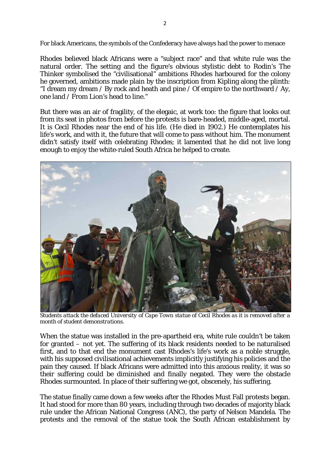For black Americans, the symbols of the Confederacy have always had the power to menace

Rhodes believed black Africans were a "subject race" and that white rule was the natural order. The setting and the figure's obvious stylistic debt to Rodin's The Thinker symbolised the "civilisational" ambitions Rhodes harboured for the colony he governed, ambitions made plain by the inscription from Kipling along the plinth: "I dream my dream / By rock and heath and pine / Of empire to the northward / Ay, one land / From Lion's head to line."

But there was an air of fragility, of the elegaic, at work too: the figure that looks out from its seat in photos from before the protests is bare-headed, middle-aged, mortal. It is Cecil Rhodes near the end of his life. (He died in 1902.) He contemplates his life's work, and with it, the future that will come to pass without him. The monument didn't satisfy itself with celebrating Rhodes; it lamented that he did not live long enough to enjoy the white-ruled South Africa he helped to create.



Students attack the defaced University of Cape Town statue of Cecil Rhodes as it is removed after a *month of student demonstrations.*

When the statue was installed in the pre-apartheid era, white rule couldn't be taken for granted – not yet. The suffering of its black residents needed to be naturalised first, and to that end the monument cast Rhodes's life's work as a noble struggle, with his supposed civilisational achievements implicitly justifying his policies and the pain they caused. If black Africans were admitted into this anxious reality, it was so their suffering could be diminished and finally negated. They were the obstacle Rhodes surmounted. In place of their suffering we got, obscenely, *his* suffering.

The statue finally came down a few weeks after the Rhodes Must Fall protests began. It had stood for more than 80 years, including through two decades of majority black rule under the African National Congress (ANC), the party of Nelson Mandela. The protests and the removal of the statue took the South African establishment by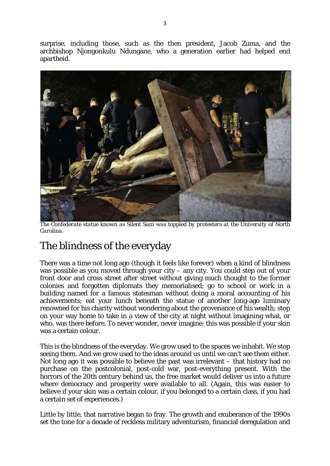surprise, including those, such as the then president, Jacob Zuma, and the archbishop Njongonkulu Ndungane, who a generation earlier had helped end apartheid.



*The Confederate statue known as Silent Sam was toppled by protesters at the University of North Carolina.*

#### The blindness of the everyday

There was a time not long ago (though it feels like forever) when a kind of blindness was possible as you moved through your city – any city. You could step out of your front door and cross street after street without giving much thought to the former colonies and forgotten diplomats they memorialised; go to school or work in a building named for a famous statesman without doing a moral accounting of his achievements; eat your lunch beneath the statue of another long-ago luminary renowned for his charity without wondering about the provenance of his wealth; stop on your way home to take in a view of the city at night without imagining what, or who, was there before. To never wonder, never imagine: this was possible if your skin was a certain colour.

This is the blindness of the everyday. We grow used to the spaces we inhabit. We stop seeing them. And we grow used to the ideas around us until we can't see them either. Not long ago it was possible to believe the past was irrelevant – that history had no purchase on the postcolonial, post-cold war, post-everything present. With the horrors of the 20th century behind us, the free market would deliver us into a future where democracy and prosperity were available to all. (Again, this was easier to believe if your skin was a certain colour, if you belonged to a certain class, if you had a certain set of experiences.)

Little by little, that narrative began to fray. The growth and exuberance of the 1990s set the tone for a decade of reckless military adventurism, financial deregulation and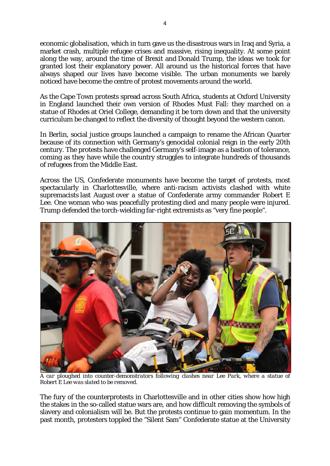economic globalisation, which in turn gave us the disastrous wars in Iraq and Syria, a market crash, multiple refugee crises and massive, rising inequality. At some point along the way, around the time of Brexit and Donald Trump, the ideas we took for granted lost their explanatory power. All around us the historical forces that have always shaped our lives have become visible. The urban monuments we barely noticed have become the centre of protest movements around the world.

As the Cape Town protests spread across South Africa, students at Oxford University in England launched their own version of Rhodes Must Fall: they marched on a statue of Rhodes at Oriel College, demanding it be torn down and that the university curriculum be changed to reflect the diversity of thought beyond the western canon.

In Berlin, social justice groups launched a campaign to rename the African Quarter because of its connection with Germany's genocidal colonial reign in the early 20th century. The protests have challenged Germany's self-image as a bastion of tolerance, coming as they have while the country struggles to integrate hundreds of thousands of refugees from the Middle East.

Across the US, Confederate monuments have become the target of protests, most spectacularly in Charlottesville, where anti-racism activists clashed with white supremacists last August over a statue of Confederate army commander Robert E Lee. One woman who was peacefully protesting died and many people were injured. Trump defended the torch-wielding far-right extremists as "very fine people".



*A car ploughed into counter-demonstrators following clashes near Lee Park, where a statue of Robert E Lee was slated to be removed.*

The fury of the counterprotests in Charlottesville and in other cities show how high the stakes in the so-called statue wars are, and how difficult removing the symbols of slavery and colonialism will be. But the protests continue to gain momentum. In the past month, protesters toppled the "Silent Sam" Confederate statue at the University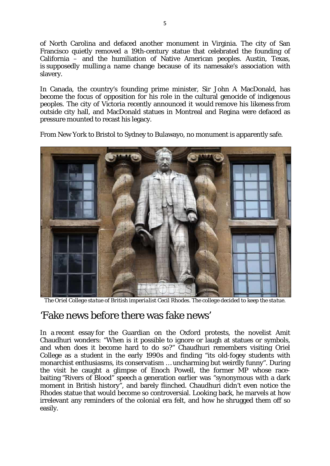of North Carolina and defaced another monument in Virginia. The city of San Francisco quietly removed a 19th-century statue that celebrated the founding of California – and the humiliation of Native American peoples. Austin, Texas, is supposedly mulling a name change because of its namesake's association with slavery.

In Canada, the country's founding prime minister, Sir John A MacDonald, has become the focus of opposition for his role in the cultural genocide of indigenous peoples. The city of Victoria recently announced it would remove his likeness from outside city hall, and MacDonald statues in Montreal and Regina were defaced as pressure mounted to recast his legacy.

From New York to Bristol to Sydney to Bulawayo, no monument is apparently safe.

*The Oriel College statue of British imperialist Cecil Rhodes. The college decided to keep the statue.*

#### 'Fake news before there was fake news'

In a recent essay for the Guardian on the Oxford protests, the novelist Amit Chaudhuri wonders: "When is it possible to ignore or laugh at statues or symbols, and when does it become hard to do so?" Chaudhuri remembers visiting Oriel College as a student in the early 1990s and finding "its old-fogey students with monarchist enthusiasms, its conservatism … uncharming but weirdly funny". During the visit he caught a glimpse of Enoch Powell, the former MP whose racebaiting "Rivers of Blood" speech a generation earlier was "synonymous with a dark moment in British history", and barely flinched. Chaudhuri didn't even notice the Rhodes statue that would become so controversial. Looking back, he marvels at how irrelevant any reminders of the colonial era felt, and how he shrugged them off so easily.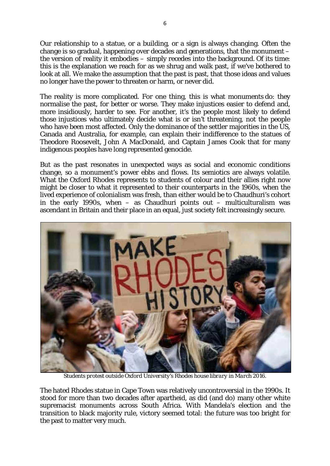Our relationship to a statue, or a building, or a sign is always changing. Often the change is so gradual, happening over decades and generations, that the monument – the version of reality it embodies – simply recedes into the background. *Of its time*: this is the explanation we reach for as we shrug and walk past, if we've bothered to look at all. We make the assumption that the past is past, that those ideas and values no longer have the power to threaten or harm, or never did.

The reality is more complicated. For one thing, this is what monuments do: they normalise the past, for better or worse. They make injustices easier to defend and, more insidiously, harder to see. For another, it's the people most likely to defend those injustices who ultimately decide what is or isn't threatening, not the people who have been most affected. Only the dominance of the settler majorities in the US, Canada and Australia, for example, can explain their indifference to the statues of Theodore Roosevelt, John A MacDonald, and Captain James Cook that for many indigenous peoples have long represented genocide.

But as the past resonates in unexpected ways as social and economic conditions change, so a monument's power ebbs and flows. Its semiotics are always volatile. What the Oxford Rhodes represents to students of colour and their allies right now might be closer to what it represented to their counterparts in the 1960s, when the lived experience of colonialism was fresh, than either would be to Chaudhuri's cohort in the early 1990s, when – as Chaudhuri points out – multiculturalism was ascendant in Britain and their place in an equal, just society felt increasingly secure.



*Students protest outside Oxford University's Rhodes house library in March 2016.*

The hated Rhodes statue in Cape Town was relatively uncontroversial in the 1990s. It stood for more than two decades after apartheid, as did (and do) many other white supremacist monuments across South Africa. With Mandela's election and the transition to black majority rule, victory seemed total: the future was too bright for the past to matter very much.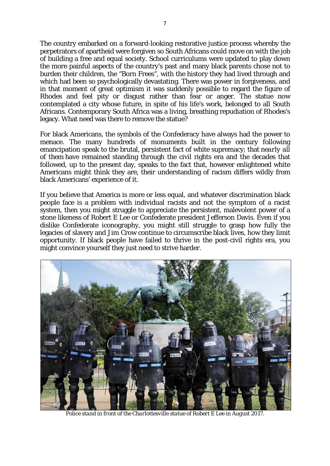The country embarked on a forward-looking restorative justice process whereby the perpetrators of apartheid were forgiven so South Africans could move on with the job of building a free and equal society. School curriculums were updated to play down the more painful aspects of the country's past and many black parents chose not to burden their children, the "Born Frees", with the history they had lived through and which had been so psychologically devastating. There was power in forgiveness, and in that moment of great optimism it was suddenly possible to regard the figure of Rhodes and feel pity or disgust rather than fear or anger. The statue now contemplated a city whose future, in spite of his life's work, belonged to all South Africans. Contemporary South Africa was a living, breathing repudiation of Rhodes's legacy. What need was there to remove the statue?

For black Americans, the symbols of the Confederacy have always had the power to menace. The many hundreds of monuments built in the century following emancipation speak to the brutal, persistent fact of white supremacy; that *nearly all of them* have remained standing through the civil rights era and the decades that followed, up to the present day, speaks to the fact that, however enlightened white Americans might think they are, their understanding of racism differs wildly from black Americans' experience of it.

If you believe that America is more or less equal, and whatever discrimination black people face is a problem with individual racists and not the symptom of a racist system, then you might struggle to appreciate the persistent, malevolent power of a stone likeness of Robert E Lee or Confederate president Jefferson Davis. Even if you dislike Confederate iconography, you might still struggle to grasp how fully the legacies of slavery and Jim Crow continue to circumscribe black lives, how they limit opportunity. If black people have failed to thrive in the post-civil rights era, you might convince yourself they just need to strive harder.



*Police stand in front of the Charlottesville statue of Robert E Lee in August 2017.*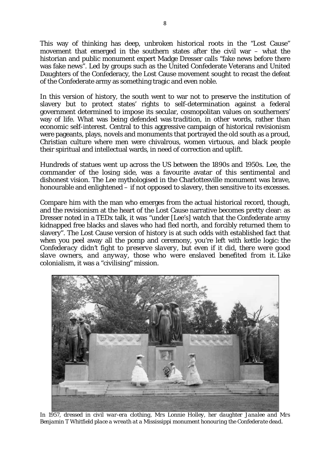This way of thinking has deep, unbroken historical roots in the "Lost Cause" movement that emerged in the southern states after the civil war – what the historian and public monument expert Madge Dresser calls "fake news before there was fake news". Led by groups such as the United Confederate Veterans and United Daughters of the Confederacy, the Lost Cause movement sought to recast the defeat of the Confederate army as something tragic and even noble.

In this version of history, the south went to war not to preserve the institution of slavery but to protect states' rights to self-determination against a federal government determined to impose its secular, cosmopolitan values on southerners' way of life. What was being defended was *tradition*, in other words, rather than economic self-interest. Central to this aggressive campaign of historical revisionism were pageants, plays, novels and monuments that portrayed the old south as a proud, Christian culture where men were chivalrous, women virtuous, and black people their spiritual and intellectual wards, in need of correction and uplift.

Hundreds of statues went up across the US between the 1890s and 1950s. Lee, the commander of the losing side, was a favourite avatar of this sentimental and dishonest vision. The Lee mythologised in the Charlottesville monument was brave, honourable and enlightened – if not opposed to slavery, then sensitive to its excesses.

Compare him with the man who emerges from the actual historical record, though, and the revisionism at the heart of the Lost Cause narrative becomes pretty clear: as Dresser noted in a TEDx talk, it was "under [Lee's] watch that the Confederate army kidnapped free blacks and slaves who had fled north, and forcibly returned them to slavery". The Lost Cause version of history is at such odds with established fact that when you peel away all the pomp and ceremony, you're left with kettle logic: *the Confederacy didn't fight to preserve slavery, but even if it did, there were good slave owners, and anyway, those who were enslaved benefited from it.* Like colonialism, it was a "civilising" mission.



*In 1957, dressed in civil war-era clothing, Mrs Lonnie Holley, her daughter Janalee and Mrs Benjamin T Whitfield place a wreath at a Mississippi monument honouring the Confederate dead*.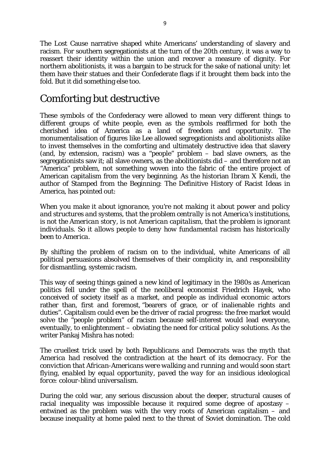The Lost Cause narrative shaped white Americans' understanding of slavery and racism. For southern segregationists at the turn of the 20th century, it was a way to reassert their identity within the union and recover a measure of dignity. For northern abolitionists, it was a bargain to be struck for the sake of national unity: let them have their statues and their Confederate flags if it brought them back into the fold. But it did something else too.

#### Comforting but destructive

These symbols of the Confederacy were allowed to mean very different things to different groups of white people, even as the symbols reaffirmed for both the cherished idea of America as a land of freedom and opportunity. The monumentalisation of figures like Lee allowed segregationists and abolitionists alike to invest themselves in the comforting and ultimately destructive idea that slavery (and, by extension, racism) was a "people" problem – bad slave owners, as the segregationists saw it; all slave owners, as the abolitionists did – and therefore not an "America" problem, not something woven into the fabric of the entire project of American capitalism from the very beginning. As the historian Ibram X Kendi, the author of Stamped from the Beginning: The Definitive History of Racist Ideas in America, has pointed out:

*When you make it about ignorance, you're not making it about power and policy and structures and systems, that the problem centrally is not America's institutions, is not the American story, is not American capitalism, that the problem is ignorant individuals. So it allows people to deny how fundamental racism has historically been to America.*

By shifting the problem of racism on to the individual, white Americans of all political persuasions absolved themselves of their complicity in, and responsibility for dismantling, systemic racism.

This way of seeing things gained a new kind of legitimacy in the 1980s as American politics fell under the spell of the neoliberal economist Friedrich Hayek, who conceived of society itself as a market, and people as individual economic actors rather than, first and foremost, "bearers of grace, or of inalienable rights and duties". Capitalism could even be the driver of racial progress: the free market would solve the "people problem" of racism because self-interest would lead everyone, eventually, to enlightenment – obviating the need for critical policy solutions. As the writer Pankaj Mishra has noted:

*The cruellest trick used by both Republicans and Democrats was the myth that America had resolved the contradiction at the heart of its democracy. For the conviction that African-Americans were walking and running and would soon start flying, enabled by equal opportunity, paved the way for an insidious ideological force: colour-blind universalism.*

During the cold war, any serious discussion about the deeper, structural causes of racial inequality was impossible because it required some degree of apostasy – entwined as the problem was with the very roots of American capitalism – and because inequality at home paled next to the threat of Soviet domination. The cold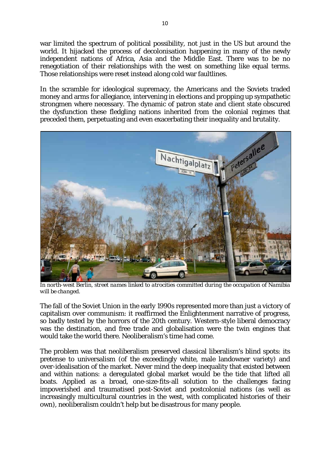war limited the spectrum of political possibility, not just in the US but around the world. It hijacked the process of decolonisation happening in many of the newly independent nations of Africa, Asia and the Middle East. There was to be no renegotiation of their relationships with the west on something like equal terms. Those relationships were reset instead along cold war faultlines.

In the scramble for ideological supremacy, the Americans and the Soviets traded money and arms for allegiance, intervening in elections and propping up sympathetic strongmen where necessary. The dynamic of patron state and client state obscured the dysfunction these fledgling nations inherited from the colonial regimes that preceded them, perpetuating and even exacerbating their inequality and brutality.



*In north-west Berlin, street names linked to atrocities committed during the occupation of Namibia will be changed.*

The fall of the Soviet Union in the early 1990s represented more than just a victory of capitalism over communism: it reaffirmed the Enlightenment narrative of progress, so badly tested by the horrors of the 20th century. Western-style liberal democracy was the destination, and free trade and globalisation were the twin engines that would take the world there. Neoliberalism's time had come.

The problem was that neoliberalism preserved classical liberalism's blind spots: its pretense to universalism (of the exceedingly white, male landowner variety) and over-idealisation of the market. Never mind the deep inequality that existed between and within nations: a deregulated global market would be the tide that lifted all boats. Applied as a broad, one-size-fits-all solution to the challenges facing impoverished and traumatised post-Soviet and postcolonial nations (as well as increasingly multicultural countries in the west, with complicated histories of their own), neoliberalism couldn't help but be disastrous for many people.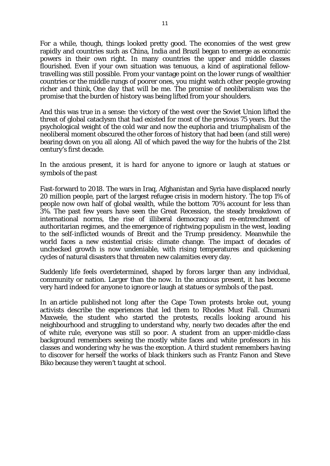For a while, though, things looked pretty good. The economies of the west grew rapidly and countries such as China, India and Brazil began to emerge as economic powers in their own right. In many countries the upper and middle classes flourished. Even if your own situation was tenuous, a kind of aspirational fellowtravelling was still possible. From your vantage point on the lower rungs of wealthier countries or the middle rungs of poorer ones, you might watch other people growing richer and think, *One day that will be me*. The promise of neoliberalism was the promise that the burden of history was being lifted from your shoulders.

And this was true in a sense: the victory of the west over the Soviet Union lifted the threat of global cataclysm that had existed for most of the previous 75 years. But the psychological weight of the cold war and now the euphoria and triumphalism of the neoliberal moment obscured the other forces of history that had been (and still were) bearing down on you all along. All of which paved the way for the hubris of the 21st century's first decade.

#### *In the anxious present, it is hard for anyone to ignore or laugh at statues or symbols of the past*

Fast-forward to 2018. The wars in Iraq, Afghanistan and Syria have displaced nearly 20 million people, part of the largest refugee crisis in modern history. The top 1% of people now own half of global wealth, while the bottom 70% account for less than 3%. The past few years have seen the Great Recession, the steady breakdown of international norms, the rise of illiberal democracy and re-entrenchment of authoritarian regimes, and the emergence of rightwing populism in the west, leading to the self-inflicted wounds of Brexit and the Trump presidency. Meanwhile the world faces a new existential crisis: climate change. The impact of decades of unchecked growth is now undeniable, with rising temperatures and quickening cycles of natural disasters that threaten new calamities every day.

Suddenly life feels overdetermined, shaped by forces larger than any individual, community or nation. Larger than the now. In the anxious present, it has become very hard indeed for anyone to ignore or laugh at statues or symbols of the past.

In an article published not long after the Cape Town protests broke out, young activists describe the experiences that led them to Rhodes Must Fall. Chumani Maxwele, the student who started the protests, recalls looking around his neighbourhood and struggling to understand why, nearly two decades after the end of white rule, everyone was still so poor. A student from an upper-middle-class background remembers seeing the mostly white faces and white professors in his classes and wondering why he was the exception. A third student remembers having to discover for herself the works of black thinkers such as Frantz Fanon and Steve Biko because they weren't taught at school.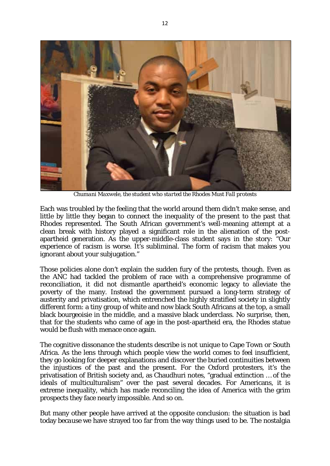

*Chumani Maxwele, the student who started the Rhodes Must Fall protests*

Each was troubled by the feeling that the world around them didn't make sense, and little by little they began to connect the inequality of the present to the past that Rhodes represented. The South African government's well-meaning attempt at a clean break with history played a significant role in the alienation of the postapartheid generation. As the upper-middle-class student says in the story: "Our experience of racism is worse. It's subliminal. The form of racism that makes you ignorant about your subjugation."

Those policies alone don't explain the sudden fury of the protests, though. Even as the ANC had tackled the problem of race with a comprehensive programme of reconciliation, it did not dismantle apartheid's economic legacy to alleviate the poverty of the many. Instead the government pursued a long-term strategy of austerity and privatisation, which entrenched the highly stratified society in slightly different form: a tiny group of white and now black South Africans at the top, a small black bourgeoisie in the middle, and a massive black underclass. No surprise, then, that for the students who came of age in the post-apartheid era, the Rhodes statue would be flush with menace once again.

The cognitive dissonance the students describe is not unique to Cape Town or South Africa. As the lens through which people view the world comes to feel insufficient, they go looking for deeper explanations and discover the buried continuities between the injustices of the past and the present. For the Oxford protesters, it's the privatisation of British society and, as Chaudhuri notes, "gradual extinction … of the ideals of multiculturalism" over the past several decades. For Americans, it is extreme inequality, which has made reconciling the idea of America with the grim prospects they face nearly impossible. And so on.

But many other people have arrived at the opposite conclusion: the situation is bad today *because* we have strayed too far from the way things used to be. The nostalgia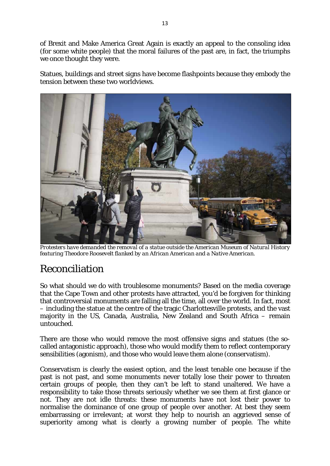of Brexit and Make America Great Again is exactly an appeal to the consoling idea (for some white people) that the moral failures of the past are, in fact, the triumphs we once thought they were.

Statues, buildings and street signs have become flashpoints because they embody the tension between these two worldviews.



*Protesters have demanded the removal of a statue outside the American Museum of Natural History featuring Theodore Roosevelt flanked by an African American and a Native American.*

### Reconciliation

So what should we do with troublesome monuments? Based on the media coverage that the Cape Town and other protests have attracted, you'd be forgiven for thinking that controversial monuments are falling all the time, all over the world. In fact, most – including the statue at the centre of the tragic Charlottesville protests, and the vast majority in the US, Canada, Australia, New Zealand and South Africa – remain untouched.

There are those who would remove the most offensive signs and statues (the socalled antagonistic approach), those who would modify them to reflect contemporary sensibilities (agonism), and those who would leave them alone (conservatism).

Conservatism is clearly the easiest option, and the least tenable one because if the past is not past, and some monuments never totally lose their power to threaten certain groups of people, then they can't be left to stand unaltered. We have a responsibility to take those threats seriously whether we see them at first glance or not. They are not idle threats: these monuments have not lost their power to normalise the dominance of one group of people over another. At best they seem embarrassing or irrelevant; at worst they help to nourish an aggrieved sense of superiority among what is clearly a growing number of people. The white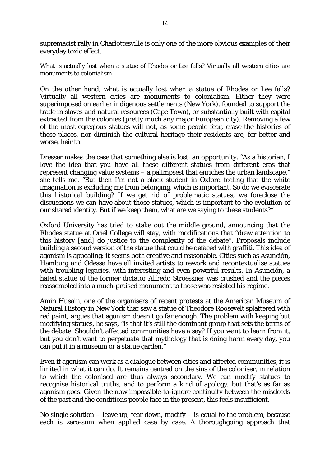supremacist rally in Charlottesville is only one of the more obvious examples of their everyday toxic effect.

What is actually lost when a statue of Rhodes or Lee falls? Virtually all western cities are monuments to colonialism

On the other hand, what is actually lost when a statue of Rhodes or Lee falls? Virtually all western cities are monuments to colonialism. Either they were superimposed on earlier indigenous settlements (New York), founded to support the trade in slaves and natural resources (Cape Town), or substantially built with capital extracted from the colonies (pretty much any major European city). Removing a few of the most egregious statues will not, as some people fear, erase the histories of these places, nor diminish the cultural heritage their residents are, for better and worse, heir to.

Dresser makes the case that something else is lost: an opportunity. "As a historian, I love the idea that you have all these different statues from different eras that represent changing value systems – a palimpsest that enriches the urban landscape," she tells me. "But then I'm not a black student in Oxford feeling that the white imagination is excluding me from belonging, which is important. So do we eviscerate this historical building? If we get rid of problematic statues, we foreclose the discussions we can have about those statues, which is important to the evolution of our shared identity. But if we keep them, what are we saying to these students?"

Oxford University has tried to stake out the middle ground, announcing that the Rhodes statue at Oriel College will stay, with modifications that "draw attention to this history [and] do justice to the complexity of the debate". Proposals include building a second version of the statue that could be defaced with graffiti. This idea of agonism is appealing: it seems both creative and reasonable. Cities such as Asunción, Hamburg and Odessa have all invited artists to rework and recontextualise statues with troubling legacies, with interesting and even powerful results. In Asunción, a hated statue of the former dictator Alfredo Stroessner was crushed and the pieces reassembled into a much-praised monument to those who resisted his regime.

Amin Husain, one of the organisers of recent protests at the American Museum of Natural History in New York that saw a statue of Theodore Roosevelt splattered with red paint, argues that agonism doesn't go far enough. The problem with keeping but modifying statues, he says, "is that it's still the dominant group that sets the terms of the debate. Shouldn't affected communities have a say? If you want to learn from it, but you don't want to perpetuate that mythology that is doing harm every day, you can put it in a museum or a statue garden."

Even if agonism can work as a dialogue between cities and affected communities, it is limited in what it can do. It remains centred on the sins of the coloniser, in relation to which the colonised are thus always secondary. We can modify statues to recognise historical truths, and to perform a kind of apology, but that's as far as agonism goes. Given the now impossible-to-ignore continuity between the misdeeds of the past and the conditions people face in the present, this feels insufficient.

No single solution – leave up, tear down, modify – is equal to the problem, because each is zero-sum when applied case by case. A thoroughgoing approach that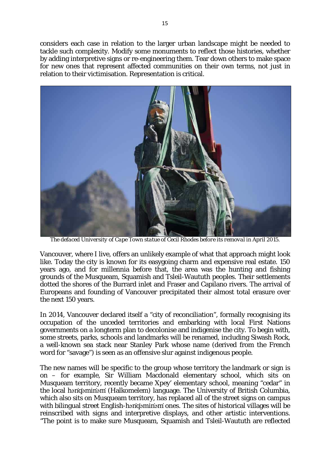considers each case in relation to the larger urban landscape might be needed to tackle such complexity. Modify some monuments to reflect those histories, whether by adding interpretive signs or re-engineering them. Tear down others to make space for new ones that represent affected communities on their own terms, not just in relation to their victimisation. Representation is critical.



*The defaced University of Cape Town statue of Cecil Rhodes before its removal in April 2015.*

Vancouver, where I live, offers an unlikely example of what that approach might look like. Today the city is known for its easygoing charm and expensive real estate. 150 years ago, and for millennia before that, the area was the hunting and fishing grounds of the Musqueam, Squamish and Tsleil-Waututh peoples. Their settlements dotted the shores of the Burrard inlet and Fraser and Capilano rivers. The arrival of Europeans and founding of Vancouver precipitated their almost total erasure over the next 150 years.

In 2014, Vancouver declared itself a "city of reconciliation", formally recognising its occupation of the unceded territories and embarking with local First Nations governments on a longterm plan to decolonise and indigenise the city. To begin with, some streets, parks, schools and landmarks will be renamed, including Siwash Rock, a well-known sea stack near Stanley Park whose name (derived from the French word for "savage") is seen as an offensive slur against indigenous people.

The new names will be specific to the group whose territory the landmark or sign is on – for example, Sir William Macdonald elementary school, which sits on Musqueam territory, recently became Xpey' elementary school, meaning "cedar" in the local hən̓q̓əmin̓əm̓ (Halkomelem) language. The University of British Columbia, which also sits on Musqueam territory, has replaced all of the street signs on campus with bilingual street English-hənqi minimi ones. The sites of historical villages will be reinscribed with signs and interpretive displays, and other artistic interventions. "The point is to make sure Musqueam, Squamish and Tsleil-Waututh are reflected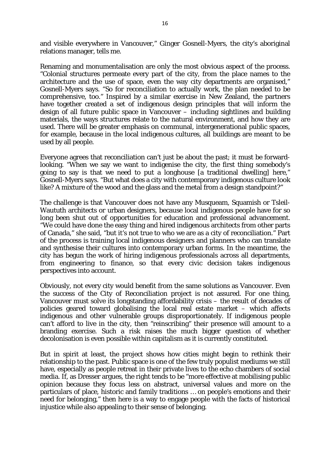and visible everywhere in Vancouver," Ginger Gosnell-Myers, the city's aboriginal relations manager, tells me.

Renaming and monumentalisation are only the most obvious aspect of the process. "Colonial structures permeate every part of the city, from the place names to the architecture and the use of space, even the way city departments are organised," Gosnell-Myers says. "So for reconciliation to actually work, the plan needed to be comprehensive, too." Inspired by a similar exercise in New Zealand, the partners have together created a set of indigenous design principles that will inform the design of all future public space in Vancouver – including sightlines and building materials, the ways structures relate to the natural environment, and how they are used. There will be greater emphasis on communal, intergenerational public spaces, for example, because in the local indigenous cultures, all buildings are meant to be used by all people.

Everyone agrees that reconciliation can't just be about the past; it must be forwardlooking. "When we say we want to indigenise the city, the first thing somebody's going to say is that we need to put a longhouse [a traditional dwelling] here," Gosnell-Myers says. "But what does a city with contemporary indigenous culture look like? A mixture of the wood and the glass and the metal from a design standpoint?"

The challenge is that Vancouver does not have any Musqueam, Squamish or Tsleil-Waututh architects or urban designers, because local indigenous people have for so long been shut out of opportunities for education and professional advancement. "We could have done the easy thing and hired indigenous architects from other parts of Canada," she said, "but it's not true to who we are as a city of reconciliation." Part of the process is training local indigenous designers and planners who can translate and synthesise their cultures into contemporary urban forms. In the meantime, the city has begun the work of hiring indigenous professionals across all departments, from engineering to finance, so that every civic decision takes indigenous perspectives into account.

Obviously, not every city would benefit from the same solutions as Vancouver. Even the success of the City of Reconciliation project is not assured. For one thing, Vancouver must solve its longstanding affordability crisis – the result of decades of policies geared toward globalising the local real estate market – which affects indigenous and other vulnerable groups disproportionately. If indigenous people can't afford to live in the city, then "reinscribing" their presence will amount to a branding exercise. Such a risk raises the much bigger question of whether decolonisation is even possible within capitalism as it is currently constituted.

But in spirit at least, the project shows how cities might begin to rethink their relationship to the past. Public space is one of the few truly populist mediums we still have, especially as people retreat in their private lives to the echo chambers of social media. If, as Dresser argues, the right tends to be "more effective at mobilising public opinion because they focus less on abstract, universal values and more on the particulars of place, historic and family traditions … on people's emotions and their need for belonging," then here is a way to engage people with the facts of historical injustice while also appealing to their sense of belonging.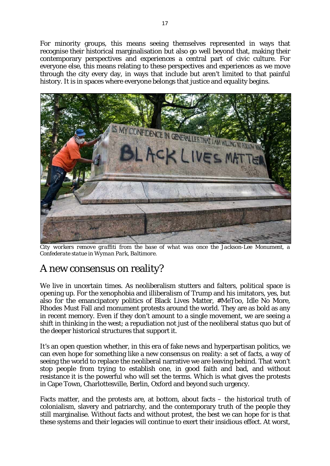For minority groups, this means seeing themselves represented in ways that recognise their historical marginalisation but also go well beyond that, making their contemporary perspectives and experiences a central part of civic culture. For everyone else, this means relating to these perspectives and experiences as we move through the city every day, in ways that include but aren't limited to that painful history. It is in spaces where everyone belongs that justice and equality begins.



*City workers remove graffiti from the base of what was once the Jackson-Lee Monument, a Confederate statue in Wyman Park, Baltimore.*

#### A new consensus on reality?

We live in uncertain times. As neoliberalism stutters and falters, political space is opening up. For the xenophobia and illiberalism of Trump and his imitators, yes, but also for the emancipatory politics of Black Lives Matter, #MeToo, Idle No More, Rhodes Must Fall and monument protests around the world. They are as bold as any in recent memory. Even if they don't amount to a single movement, we are seeing a shift in thinking in the west; a repudiation not just of the neoliberal status quo but of the deeper historical structures that support it.

It's an open question whether, in this era of fake news and hyperpartisan politics, we can even hope for something like a new consensus on reality: a set of facts, a way of seeing the world to replace the neoliberal narrative we are leaving behind. That won't stop people from trying to establish one, in good faith and bad, and without resistance it is the powerful who will set the terms. Which is what gives the protests in Cape Town, Charlottesville, Berlin, Oxford and beyond such urgency.

Facts matter, and the protests are, at bottom, about facts – the historical truth of colonialism, slavery and patriarchy, and the contemporary truth of the people they still marginalise. Without facts and without protest, the best we can hope for is that these systems and their legacies will continue to exert their insidious effect. At worst,